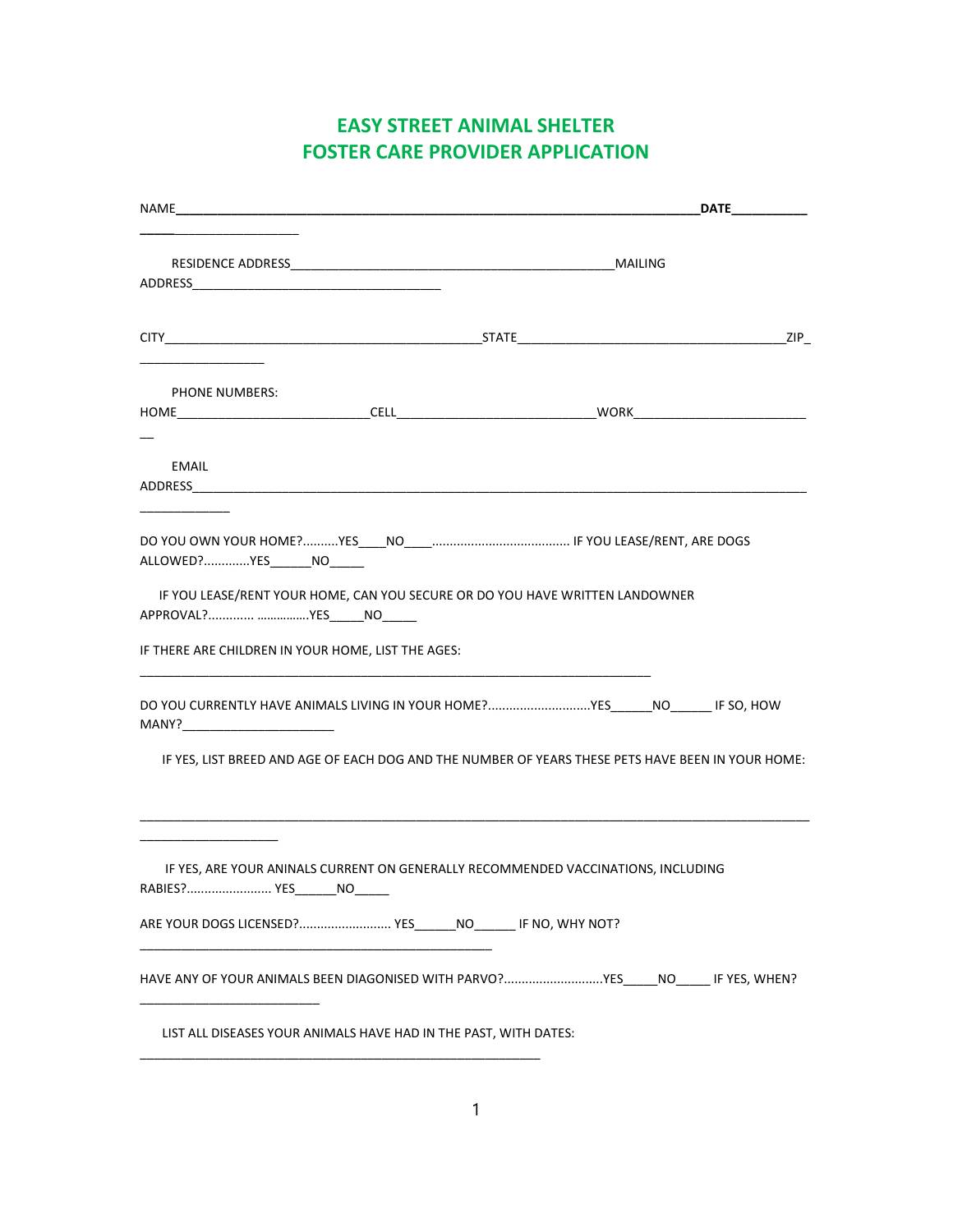## EASY STREET ANIMAL SHELTER FOSTER CARE PROVIDER APPLICATION

|                                                                                                                                                                                                                                |  | <b>DATE___________</b> |
|--------------------------------------------------------------------------------------------------------------------------------------------------------------------------------------------------------------------------------|--|------------------------|
| ADDRESS AND THE STATE OF THE STATE OF THE STATE OF THE STATE OF THE STATE OF THE STATE OF THE STATE OF THE STATE OF THE STATE OF THE STATE OF THE STATE OF THE STATE OF THE STATE OF THE STATE OF THE STATE OF THE STATE OF TH |  |                        |
|                                                                                                                                                                                                                                |  |                        |
| <b>PHONE NUMBERS:</b>                                                                                                                                                                                                          |  |                        |
| EMAIL                                                                                                                                                                                                                          |  |                        |
| ALLOWED?YES NO                                                                                                                                                                                                                 |  |                        |
| IF YOU LEASE/RENT YOUR HOME, CAN YOU SECURE OR DO YOU HAVE WRITTEN LANDOWNER<br>APPROVAL? YES______NO______<br>IF THERE ARE CHILDREN IN YOUR HOME, LIST THE AGES:                                                              |  |                        |
| DO YOU CURRENTLY HAVE ANIMALS LIVING IN YOUR HOME?YES NO FSO, HOW                                                                                                                                                              |  |                        |
| IF YES, LIST BREED AND AGE OF EACH DOG AND THE NUMBER OF YEARS THESE PETS HAVE BEEN IN YOUR HOME:                                                                                                                              |  |                        |
| IF YES, ARE YOUR ANINALS CURRENT ON GENERALLY RECOMMENDED VACCINATIONS, INCLUDING<br>RABIES? YES_______NO_<br>ARE YOUR DOGS LICENSED? YES_______NO________IF NO, WHY NOT?                                                      |  |                        |
| HAVE ANY OF YOUR ANIMALS BEEN DIAGONISED WITH PARVO?YES_____NO_____IF YES, WHEN?                                                                                                                                               |  |                        |
| LIST ALL DISEASES YOUR ANIMALS HAVE HAD IN THE PAST, WITH DATES:                                                                                                                                                               |  |                        |